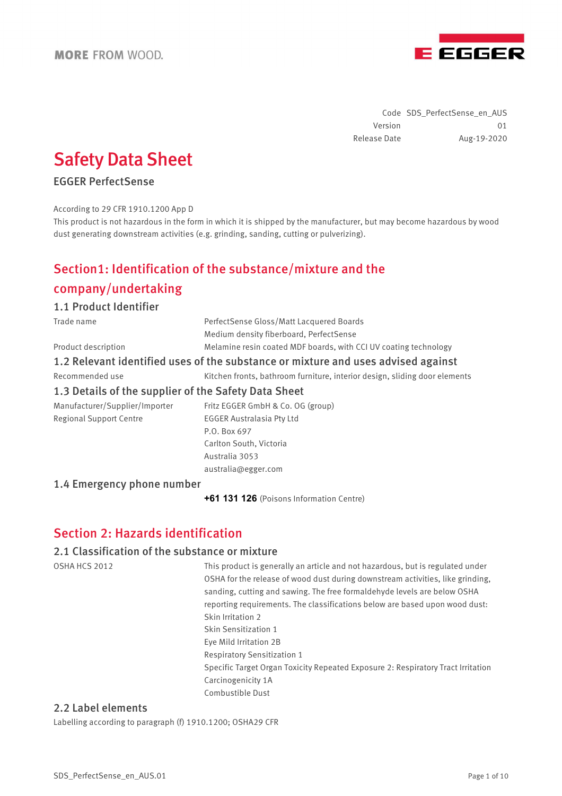

Code SDS\_PerfectSense\_en\_AUS Version 01 Release Date Aug-19-2020

# Safety Data Sheet

## EGGER PerfectSense

#### According to 29 CFR 1910.1200 App D

This product is not hazardous in the form in which it is shipped by the manufacturer, but may become hazardous by wood dust generating downstream activities (e.g. grinding, sanding, cutting or pulverizing).

# Section1: Identification of the substance/mixture and the

## company/undertaking

#### 1.1 Product Identifier

| Trade name                                                                                                                                                                                                                                                                                                                         | PerfectSense Gloss/Matt Lacquered Boards                                          |  |  |
|------------------------------------------------------------------------------------------------------------------------------------------------------------------------------------------------------------------------------------------------------------------------------------------------------------------------------------|-----------------------------------------------------------------------------------|--|--|
|                                                                                                                                                                                                                                                                                                                                    | Medium density fiberboard, PerfectSense                                           |  |  |
| Product description                                                                                                                                                                                                                                                                                                                | Melamine resin coated MDF boards, with CCI UV coating technology                  |  |  |
|                                                                                                                                                                                                                                                                                                                                    | 1.2 Relevant identified uses of the substance or mixture and uses advised against |  |  |
| Recommended use                                                                                                                                                                                                                                                                                                                    | Kitchen fronts, bathroom furniture, interior design, sliding door elements        |  |  |
| 1.3 Details of the supplier of the Safety Data Sheet                                                                                                                                                                                                                                                                               |                                                                                   |  |  |
| $\mathbf{M}$ $\mathbf{C}$ $\mathbf{C}$ $\mathbf{C}$ $\mathbf{C}$ $\mathbf{C}$ $\mathbf{C}$ $\mathbf{C}$ $\mathbf{C}$ $\mathbf{C}$ $\mathbf{C}$ $\mathbf{C}$ $\mathbf{C}$ $\mathbf{C}$ $\mathbf{C}$ $\mathbf{C}$ $\mathbf{C}$ $\mathbf{C}$ $\mathbf{C}$ $\mathbf{C}$ $\mathbf{C}$ $\mathbf{C}$ $\mathbf{C}$ $\mathbf{C}$ $\mathbf{$ |                                                                                   |  |  |

Regional Support Centre **EGGER** Australasia Pty Ltd

Manufacturer/Supplier/Importer Fritz EGGER GmbH & Co. OG (group) P.O. Box 697 Carlton South, Victoria Australia 3053 australia@egger.com

## 1.4 Emergency phone number

**+61 131 126** (Poisons Information Centre)

## Section 2: Hazards identification

#### 2.1 Classification of the substance or mixture

OSHA HCS 2012 This product is generally an article and not hazardous, but is regulated under OSHA for the release of wood dust during downstream activities, like grinding, sanding, cutting and sawing. The free formaldehyde levels are below OSHA reporting requirements. The classifications below are based upon wood dust: Skin Irritation 2 Skin Sensitization 1 Eye Mild Irritation 2B Respiratory Sensitization 1 Specific Target Organ Toxicity Repeated Exposure 2: Respiratory Tract Irritation Carcinogenicity 1A Combustible Dust

## 2.2 Label elements

Labelling according to paragraph (f) 1910.1200; OSHA29 CFR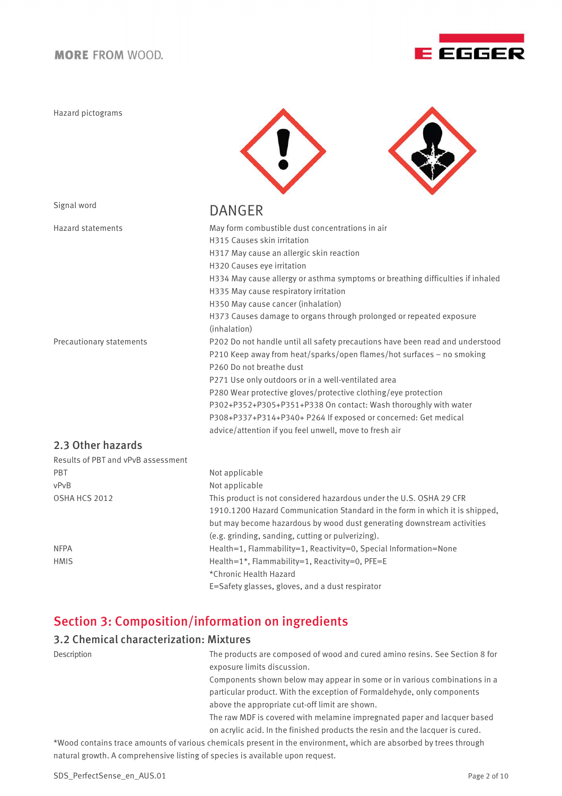Hazard pictograms





# Signal word **DANGER**

| <b>Hazard statements</b>           | May form combustible dust concentrations in air                                |
|------------------------------------|--------------------------------------------------------------------------------|
|                                    | H315 Causes skin irritation                                                    |
|                                    | H317 May cause an allergic skin reaction                                       |
|                                    | H320 Causes eye irritation                                                     |
|                                    | H334 May cause allergy or asthma symptoms or breathing difficulties if inhaled |
|                                    | H335 May cause respiratory irritation                                          |
|                                    | H350 May cause cancer (inhalation)                                             |
|                                    | H373 Causes damage to organs through prolonged or repeated exposure            |
|                                    | (inhalation)                                                                   |
| Precautionary statements           | P202 Do not handle until all safety precautions have been read and understood  |
|                                    | P210 Keep away from heat/sparks/open flames/hot surfaces - no smoking          |
|                                    | P260 Do not breathe dust                                                       |
|                                    | P271 Use only outdoors or in a well-ventilated area                            |
|                                    | P280 Wear protective gloves/protective clothing/eye protection                 |
|                                    | P302+P352+P305+P351+P338 On contact: Wash thoroughly with water                |
|                                    | P308+P337+P314+P340+ P264 If exposed or concerned: Get medical                 |
|                                    | advice/attention if you feel unwell, move to fresh air                         |
| 2.3 Other hazards                  |                                                                                |
| Results of PBT and vPvB assessment |                                                                                |
| PBT                                | Not applicable                                                                 |
| vPvB                               | Not applicable                                                                 |
| OSHA HCS 2012                      | This product is not considered hazardous under the U.S. OSHA 29 CFR            |
|                                    | 1910.1200 Hazard Communication Standard in the form in which it is shipped,    |
|                                    | but may become hazardous by wood dust generating downstream activities         |
|                                    | (e.g. grinding, sanding, cutting or pulverizing).                              |
| <b>NFPA</b>                        | Health=1, Flammability=1, Reactivity=0, Special Information=None               |

HMIS Health=1\*, Flammability=1, Reactivity=0, PFE=E \*Chronic Health Hazard

E=Safety glasses, gloves, and a dust respirator

# Section 3: Composition/information on ingredients

## 3.2 Chemical characterization: Mixtures

| Description | The products are composed of wood and cured amino resins. See Section 8 for<br>exposure limits discussion.                |  |
|-------------|---------------------------------------------------------------------------------------------------------------------------|--|
|             | Components shown below may appear in some or in various combinations in a                                                 |  |
|             | particular product. With the exception of Formaldehyde, only components<br>above the appropriate cut-off limit are shown. |  |
|             | The raw MDF is covered with melamine impregnated paper and lacquer based                                                  |  |
|             | on acrylic acid. In the finished products the resin and the lacquer is cured.                                             |  |
|             | tuled contains trace amounts of usrious chamicals present in the equivanment which are absorbed by trees through          |  |

\*Wood contains trace amounts of various chemicals present in the environment, which are absorbed by trees through natural growth. A comprehensive listing of species is available upon request.

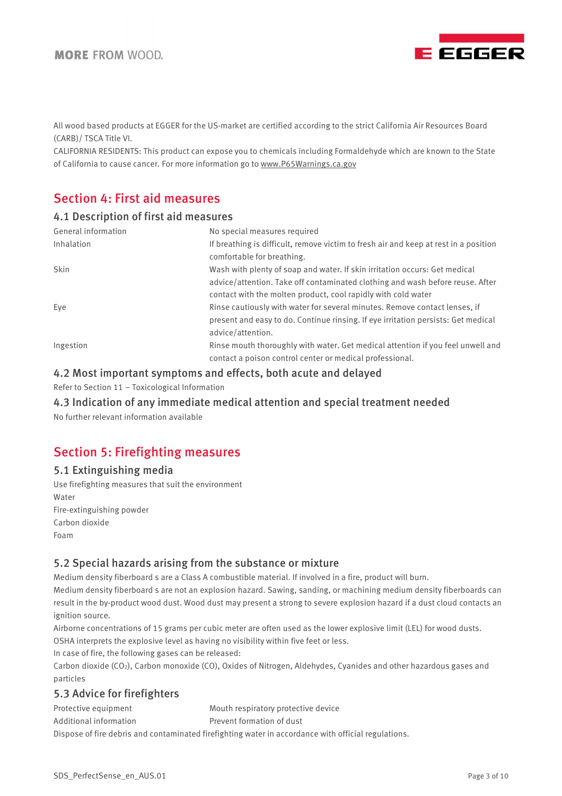

All wood based products at EGGER for the US-market are certified according to the strict California Air Resources Board (CARB)/ TSCA Title VI.

CALIFORNIA RESIDENTS: This product can expose you to chemicals including Formaldehyde which are known to the State of California to cause cancer. For more information go to www.P65Warnings.ca.gov

## Section 4: First aid measures

#### 4.1 Description of first aid measures

| General information | No special measures required                                                                                       |
|---------------------|--------------------------------------------------------------------------------------------------------------------|
| Inhalation          | If breathing is difficult, remove victim to fresh air and keep at rest in a position<br>comfortable for breathing. |
| <b>Skin</b>         | Wash with plenty of soap and water. If skin irritation occurs: Get medical                                         |
|                     | advice/attention. Take off contaminated clothing and wash before reuse. After                                      |
|                     | contact with the molten product, cool rapidly with cold water                                                      |
| Eye                 | Rinse cautiously with water for several minutes. Remove contact lenses, if                                         |
|                     | present and easy to do. Continue rinsing. If eye irritation persists: Get medical                                  |
|                     | advice/attention.                                                                                                  |
| Ingestion           | Rinse mouth thoroughly with water. Get medical attention if you feel unwell and                                    |
|                     | contact a poison control center or medical professional.                                                           |

## 4.2 Most important symptoms and effects, both acute and delayed

Refer to Section 11 – Toxicological Information

## 4.3 Indication of any immediate medical attention and special treatment needed

No further relevant information available

## Section 5: Firefighting measures

## 5.1 Extinguishing media

Use firefighting measures that suit the environment Water Fire-extinguishing powder Carbon dioxide Foam

## 5.2 Special hazards arising from the substance or mixture

Medium density fiberboard s are a Class A combustible material. If involved in a fire, product will burn.

Medium density fiberboard s are not an explosion hazard. Sawing, sanding, or machining medium density fiberboards can result in the by-product wood dust. Wood dust may present a strong to severe explosion hazard if a dust cloud contacts an ignition source.

Airborne concentrations of 15 grams per cubic meter are often used as the lower explosive limit (LEL) for wood dusts. OSHA interprets the explosive level as having no visibility within five feet or less.

In case of fire, the following gases can be released:

Carbon dioxide (CO<sub>2</sub>), Carbon monoxide (CO), Oxides of Nitrogen, Aldehydes, Cyanides and other hazardous gases and particles

## 5.3 Advice for firefighters

Protective equipment Mouth respiratory protective device Additional information Prevent formation of dust Dispose of fire debris and contaminated firefighting water in accordance with official regulations.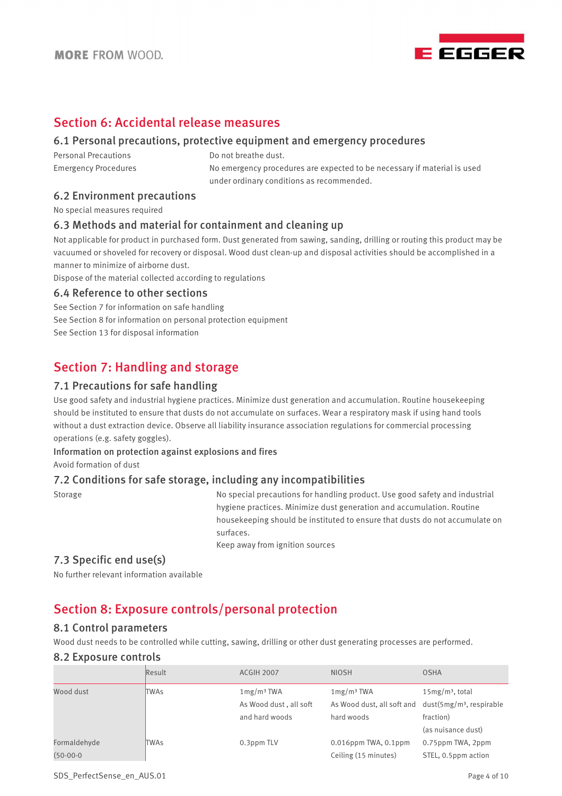

## Section 6: Accidental release measures

## 6.1 Personal precautions, protective equipment and emergency procedures

Personal Precautions **Do not breathe dust.** 

Emergency Procedures No emergency procedures are expected to be necessary if material is used under ordinary conditions as recommended.

#### 6.2 Environment precautions

No special measures required

## 6.3 Methods and material for containment and cleaning up

Not applicable for product in purchased form. Dust generated from sawing, sanding, drilling or routing this product may be vacuumed or shoveled for recovery or disposal. Wood dust clean-up and disposal activities should be accomplished in a manner to minimize of airborne dust.

Dispose of the material collected according to regulations

#### 6.4 Reference to other sections

See Section 7 for information on safe handling See Section 8 for information on personal protection equipment See Section 13 for disposal information

## Section 7: Handling and storage

#### 7.1 Precautions for safe handling

Use good safety and industrial hygiene practices. Minimize dust generation and accumulation. Routine housekeeping should be instituted to ensure that dusts do not accumulate on surfaces. Wear a respiratory mask if using hand tools without a dust extraction device. Observe all liability insurance association regulations for commercial processing operations (e.g. safety goggles).

# Information on protection against explosions and fires

Avoid formation of dust

## 7.2 Conditions for safe storage, including any incompatibilities

Storage Storage No special precautions for handling product. Use good safety and industrial hygiene practices. Minimize dust generation and accumulation. Routine housekeeping should be instituted to ensure that dusts do not accumulate on surfaces.

Keep away from ignition sources

## 7.3 Specific end use(s)

No further relevant information available

## Section 8: Exposure controls/personal protection

#### 8.1 Control parameters

Wood dust needs to be controlled while cutting, sawing, drilling or other dust generating processes are performed.

#### 8.2 Exposure controls

|              | Result      | ACGIH 2007             | <b>NIOSH</b>               | <b>OSHA</b>                 |
|--------------|-------------|------------------------|----------------------------|-----------------------------|
| Wood dust    | <b>TWAs</b> | 1mg/m <sup>3</sup> TWA | 1mg/m <sup>3</sup> TWA     | $15mg/m3$ , total           |
|              |             | As Wood dust, all soft | As Wood dust, all soft and | $dust(5mg/m3)$ , respirable |
|              |             | and hard woods         | hard woods                 | fraction)                   |
|              |             |                        |                            | (as nuisance dust)          |
| Formaldehyde | <b>TWAs</b> | 0.3ppm TLV             | $0.016$ ppm TWA, $0.1$ ppm | 0.75ppm TWA, 2ppm           |
| $(50-00-0)$  |             |                        | Ceiling (15 minutes)       | STEL, 0.5ppm action         |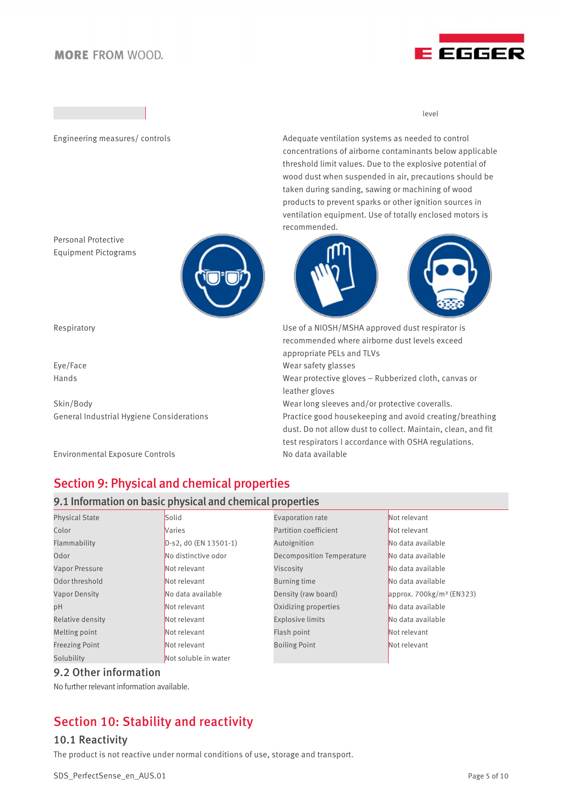

level

Engineering measures/ controls and the Adequate ventilation systems as needed to control concentrations of airborne contaminants below applicable threshold limit values. Due to the explosive potential of wood dust when suspended in air, precautions should be taken during sanding, sawing or machining of wood products to prevent sparks or other ignition sources in ventilation equipment. Use of totally enclosed motors is recommended.



Respiratory Use of a NIOSH/MSHA approved dust respirator is recommended where airborne dust levels exceed appropriate PELs and TLVs Eye/Face Wear safety glasses

Hands Wear protective gloves – Rubberized cloth, canvas or leather gloves

Skin/Body Sumplem Mearlong sleeves and/or protective coveralls.

General Industrial Hygiene Considerations Practice good housekeeping and avoid creating/breathing dust. Do not allow dust to collect. Maintain, clean, and fit test respirators I accordance with OSHA regulations.

# Section 9: Physical and chemical properties

## 9.1 Information on basic physical and chemical properties

| <b>Physical State</b> | Solid                 | Evaporation rate                 | Not relevant               |
|-----------------------|-----------------------|----------------------------------|----------------------------|
| Color                 | <b>Naries</b>         | <b>Partition coefficient</b>     | Not relevant               |
| Flammability          | D-s2, d0 (EN 13501-1) | Autoignition                     | No data available          |
| Odor                  | No distinctive odor   | <b>Decomposition Temperature</b> | No data available          |
| <b>Vapor Pressure</b> | Not relevant          | Viscosity                        | No data available          |
| Odor threshold        | Not relevant          | Burning time                     | No data available          |
| <b>Vapor Density</b>  | No data available     | Density (raw board)              | approx. $700kg/m3$ (EN323) |
| pH                    | Not relevant          | Oxidizing properties             | No data available          |
| Relative density      | Not relevant          | <b>Explosive limits</b>          | No data available          |
| Melting point         | Not relevant          | Flash point                      | Not relevant               |
| <b>Freezing Point</b> | Not relevant          | <b>Boiling Point</b>             | Not relevant               |
| Solubility            | Not soluble in water  |                                  |                            |

## 9.2 Other information

No further relevant information available.

# Section 10: Stability and reactivity

## 10.1 Reactivity

The product is not reactive under normal conditions of use, storage and transport.



Personal Protective Equipment Pictograms

Environmental Exposure Controls No data available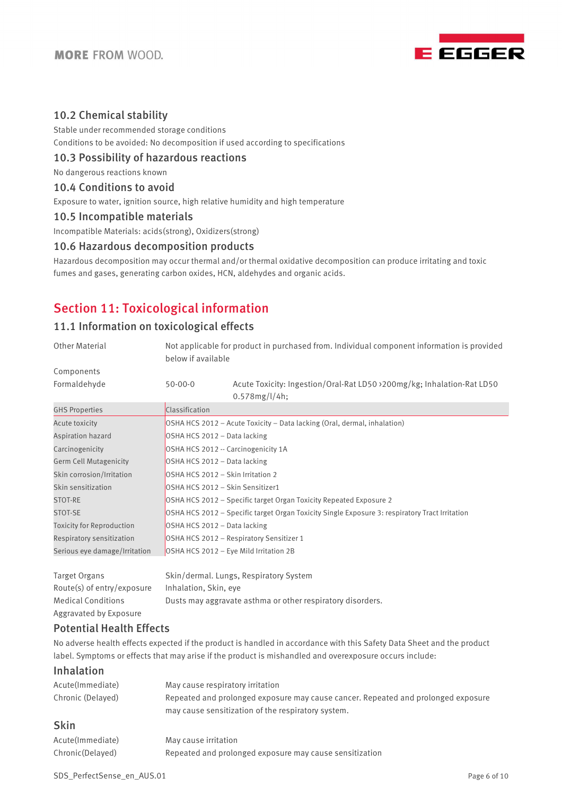

## 10.2 Chemical stability

Stable under recommended storage conditions Conditions to be avoided: No decomposition if used according to specifications

## 10.3 Possibility of hazardous reactions

No dangerous reactions known

#### 10.4 Conditions to avoid

Exposure to water, ignition source, high relative humidity and high temperature

#### 10.5 Incompatible materials

Incompatible Materials: acids(strong), Oxidizers(strong)

#### 10.6 Hazardous decomposition products

Hazardous decomposition may occur thermal and/or thermal oxidative decomposition can produce irritating and toxic fumes and gases, generating carbon oxides, HCN, aldehydes and organic acids.

## Section 11: Toxicological information

## 11.1 Information on toxicological effects

| <b>Other Material</b>            | Not applicable for product in purchased from. Individual component information is provided<br>below if available |                                                                                          |  |
|----------------------------------|------------------------------------------------------------------------------------------------------------------|------------------------------------------------------------------------------------------|--|
| Components                       |                                                                                                                  |                                                                                          |  |
| Formaldehyde                     | $50-00-0$                                                                                                        | Acute Toxicity: Ingestion/Oral-Rat LD50 > 200mg/kg; Inhalation-Rat LD50<br>0.578mg/l/4h; |  |
| <b>GHS Properties</b>            | Classification                                                                                                   |                                                                                          |  |
| Acute toxicity                   |                                                                                                                  | OSHA HCS 2012 - Acute Toxicity - Data lacking (Oral, dermal, inhalation)                 |  |
| Aspiration hazard                | OSHA HCS 2012 - Data lacking                                                                                     |                                                                                          |  |
| Carcinogenicity                  | OSHA HCS 2012 -- Carcinogenicity 1A                                                                              |                                                                                          |  |
| <b>Germ Cell Mutagenicity</b>    | OSHA HCS 2012 - Data lacking                                                                                     |                                                                                          |  |
| Skin corrosion/Irritation        | OSHA HCS 2012 - Skin Irritation 2                                                                                |                                                                                          |  |
| Skin sensitization               | OSHA HCS 2012 - Skin Sensitizer1                                                                                 |                                                                                          |  |
| STOT-RE                          | OSHA HCS 2012 - Specific target Organ Toxicity Repeated Exposure 2                                               |                                                                                          |  |
| STOT-SE                          | OSHA HCS 2012 - Specific target Organ Toxicity Single Exposure 3: respiratory Tract Irritation                   |                                                                                          |  |
| <b>Toxicity for Reproduction</b> | OSHA HCS 2012 - Data lacking                                                                                     |                                                                                          |  |
| Respiratory sensitization        | OSHA HCS 2012 - Respiratory Sensitizer 1                                                                         |                                                                                          |  |
| Serious eye damage/Irritation    | OSHA HCS 2012 - Eye Mild Irritation 2B                                                                           |                                                                                          |  |
| <b>Target Organs</b>             |                                                                                                                  | Skin/dermal. Lungs, Respiratory System                                                   |  |
| Route(s) of entry/exposure       | Inhalation, Skin, eye                                                                                            |                                                                                          |  |
| <b>Medical Conditions</b>        | Dusts may aggravate asthma or other respiratory disorders.                                                       |                                                                                          |  |
| Aggravated by Exposure           |                                                                                                                  |                                                                                          |  |
| <b>Potential Health Effects</b>  |                                                                                                                  |                                                                                          |  |

No adverse health effects expected if the product is handled in accordance with this Safety Data Sheet and the product label. Symptoms or effects that may arise if the product is mishandled and overexposure occurs include:

## Inhalation

| Acute(Immediate)  | May cause respiratory irritation                                                  |
|-------------------|-----------------------------------------------------------------------------------|
| Chronic (Delayed) | Repeated and prolonged exposure may cause cancer. Repeated and prolonged exposure |
|                   | may cause sensitization of the respiratory system.                                |
|                   |                                                                                   |

## Skin

| Acute(Immediate) | May cause irritation                                    |
|------------------|---------------------------------------------------------|
| Chronic(Delayed) | Repeated and prolonged exposure may cause sensitization |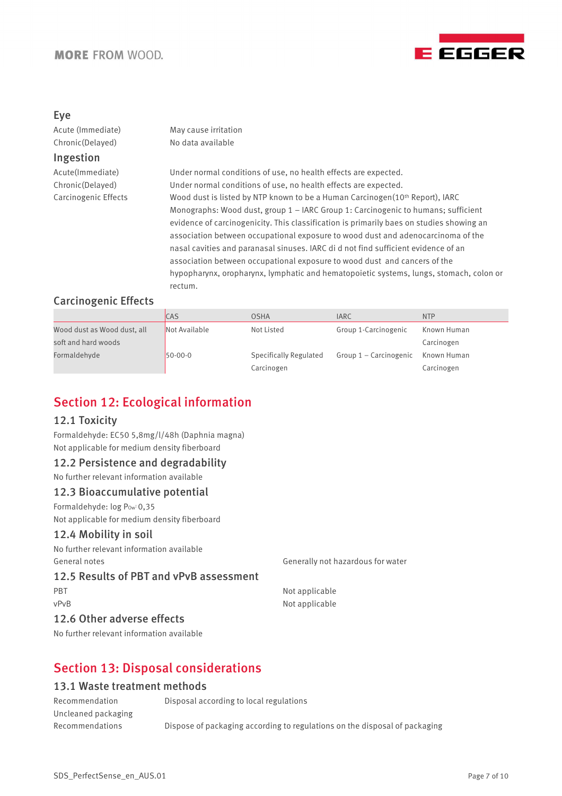

## Eye

Acute (Immediate) May cause irritation Chronic(Delayed) No data available

## Ingestion

Acute(Immediate) Under normal conditions of use, no health effects are expected. Chronic(Delayed) Under normal conditions of use, no health effects are expected. Carcinogenic Effects Wood dust is listed by NTP known to be a Human Carcinogen(10th Report), IARC Monographs: Wood dust, group 1 – IARC Group 1: Carcinogenic to humans; sufficient evidence of carcinogenicity. This classification is primarily baes on studies showing an association between occupational exposure to wood dust and adenocarcinoma of the nasal cavities and paranasal sinuses. IARC di d not find sufficient evidence of an association between occupational exposure to wood dust and cancers of the hypopharynx, oropharynx, lymphatic and hematopoietic systems, lungs, stomach, colon or rectum.

## Carcinogenic Effects

|                             | <b>CAS</b>    | <b>OSHA</b>            | <b>IARC</b>            | <b>NTP</b>  |
|-----------------------------|---------------|------------------------|------------------------|-------------|
| Wood dust as Wood dust, all | Not Available | Not Listed             | Group 1-Carcinogenic   | Known Human |
| soft and hard woods         |               |                        |                        | Carcinogen  |
| Formaldehyde                | $50-00-0$     | Specifically Regulated | Group 1 – Carcinogenic | Known Human |
|                             |               | Carcinogen             |                        | Carcinogen  |

# Section 12: Ecological information

## 12.1 Toxicity

Formaldehyde: EC50 5,8mg/l/48h (Daphnia magna) Not applicable for medium density fiberboard

## 12.2 Persistence and degradability

No further relevant information available

## 12.3 Bioaccumulative potential

Formaldehyde: log Pow: 0,35 Not applicable for medium density fiberboard

#### 12.4 Mobility in soil

No further relevant information available General notes Generally not hazardous for water

#### 12.5 Results of PBT and vPvB assessment

PBT Not applicable

vPvB Not applicable

## 12.6 Other adverse effects

No further relevant information available

# Section 13: Disposal considerations

## 13.1 Waste treatment methods

| Recommendation         | Disposal according to local regulations                                    |
|------------------------|----------------------------------------------------------------------------|
| Uncleaned packaging    |                                                                            |
| <b>Recommendations</b> | Dispose of packaging according to regulations on the disposal of packaging |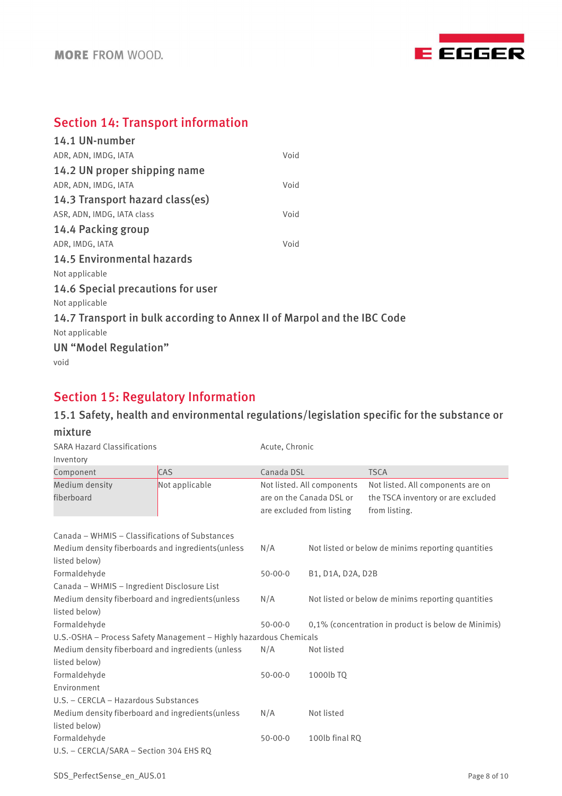

# Section 14: Transport information

| 14.1 UN-number                                                          |      |
|-------------------------------------------------------------------------|------|
| ADR, ADN, IMDG, IATA                                                    | Void |
| 14.2 UN proper shipping name                                            |      |
| ADR, ADN, IMDG, IATA                                                    | Void |
| 14.3 Transport hazard class(es)                                         |      |
| ASR, ADN, IMDG, IATA class                                              | Void |
| 14.4 Packing group                                                      |      |
| ADR, IMDG, IATA                                                         | Void |
| <b>14.5 Environmental hazards</b>                                       |      |
| Not applicable                                                          |      |
| 14.6 Special precautions for user                                       |      |
| Not applicable                                                          |      |
| 14.7 Transport in bulk according to Annex II of Marpol and the IBC Code |      |
| Not applicable                                                          |      |
| UN "Model Regulation"                                                   |      |
| void                                                                    |      |
|                                                                         |      |

# Section 15: Regulatory Information

# 15.1 Safety, health and environmental regulations/legislation specific for the substance or

| mixture                                                            |                |                                                                                     |                   |                                                                                          |  |
|--------------------------------------------------------------------|----------------|-------------------------------------------------------------------------------------|-------------------|------------------------------------------------------------------------------------------|--|
| <b>SARA Hazard Classifications</b>                                 |                |                                                                                     | Acute, Chronic    |                                                                                          |  |
| Inventory                                                          |                |                                                                                     |                   |                                                                                          |  |
| Component                                                          | <b>CAS</b>     | Canada DSL                                                                          |                   | <b>TSCA</b>                                                                              |  |
| Medium density<br>fiberboard                                       | Not applicable | Not listed. All components<br>are on the Canada DSL or<br>are excluded from listing |                   | Not listed. All components are on<br>the TSCA inventory or are excluded<br>from listing. |  |
| Canada – WHMIS – Classifications of Substances                     |                |                                                                                     |                   |                                                                                          |  |
| Medium density fiberboards and ingredients (unless                 |                | N/A                                                                                 |                   | Not listed or below de minims reporting quantities                                       |  |
| listed below)<br>Formaldehyde                                      |                | $50 - 00 - 0$                                                                       | B1, D1A, D2A, D2B |                                                                                          |  |
| Canada - WHMIS - Ingredient Disclosure List                        |                |                                                                                     |                   |                                                                                          |  |
| Medium density fiberboard and ingredients (unless                  |                | N/A                                                                                 |                   | Not listed or below de minims reporting quantities                                       |  |
| listed below)                                                      |                |                                                                                     |                   |                                                                                          |  |
| Formaldehyde                                                       |                | $50 - 00 - 0$                                                                       |                   | 0,1% (concentration in product is below de Minimis)                                      |  |
| U.S.-OSHA - Process Safety Management - Highly hazardous Chemicals |                |                                                                                     |                   |                                                                                          |  |
| Medium density fiberboard and ingredients (unless                  |                | N/A                                                                                 | Not listed        |                                                                                          |  |
| listed below)                                                      |                |                                                                                     |                   |                                                                                          |  |
| Formaldehyde                                                       |                | $50 - 00 - 0$                                                                       | 1000lb TO         |                                                                                          |  |
| Environment                                                        |                |                                                                                     |                   |                                                                                          |  |
| U.S. - CERCLA - Hazardous Substances                               |                |                                                                                     |                   |                                                                                          |  |
| Medium density fiberboard and ingredients (unless                  |                | N/A                                                                                 | Not listed        |                                                                                          |  |
| listed below)                                                      |                |                                                                                     |                   |                                                                                          |  |
| Formaldehyde                                                       |                | $50 - 00 - 0$                                                                       | 100lb final RQ    |                                                                                          |  |
| U.S. - CERCLA/SARA - Section 304 EHS RQ                            |                |                                                                                     |                   |                                                                                          |  |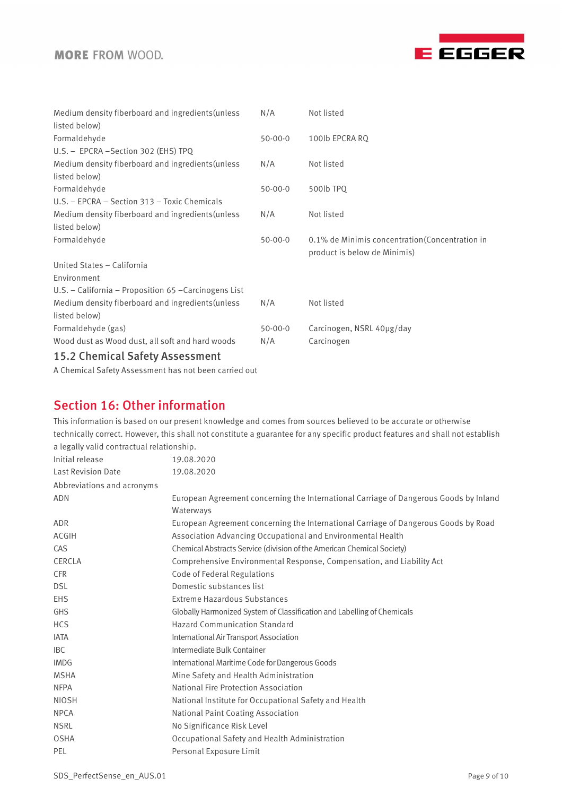

| Medium density fiberboard and ingredients (unless       | N/A           | Not listed                                                                      |
|---------------------------------------------------------|---------------|---------------------------------------------------------------------------------|
| listed below)                                           |               |                                                                                 |
| Formaldehyde                                            | $50 - 00 - 0$ | 100lb EPCRA RQ                                                                  |
| U.S. - EPCRA - Section 302 (EHS) TPQ                    |               |                                                                                 |
| Medium density fiberboard and ingredients (unless       | N/A           | Not listed                                                                      |
| listed below)                                           |               |                                                                                 |
| Formaldehyde                                            | $50 - 00 - 0$ | 500lb TPQ                                                                       |
| U.S. - EPCRA - Section 313 - Toxic Chemicals            |               |                                                                                 |
| Medium density fiberboard and ingredients (unless       | N/A           | Not listed                                                                      |
| listed below)                                           |               |                                                                                 |
| Formaldehyde                                            | $50 - 00 - 0$ | 0.1% de Minimis concentration (Concentration in<br>product is below de Minimis) |
| United States - California                              |               |                                                                                 |
| Environment                                             |               |                                                                                 |
| $U.S. - California - Proposition 65 - Carcinogens List$ |               |                                                                                 |
| Medium density fiberboard and ingredients (unless       | N/A           | Not listed                                                                      |
| listed below)                                           |               |                                                                                 |
| Formaldehyde (gas)                                      | $50 - 00 - 0$ | Carcinogen, NSRL 40µg/day                                                       |
| Wood dust as Wood dust, all soft and hard woods         | N/A           | Carcinogen                                                                      |
| 15.2 Chemical Safety Assessment                         |               |                                                                                 |

A Chemical Safety Assessment has not been carried out

# Section 16: Other information

This information is based on our present knowledge and comes from sources believed to be accurate or otherwise technically correct. However, this shall not constitute a guarantee for any specific product features and shall not establish a legally valid contractual relationship.

| Initial release            | 19.08.2020                                                                            |  |  |
|----------------------------|---------------------------------------------------------------------------------------|--|--|
| <b>Last Revision Date</b>  | 19.08.2020                                                                            |  |  |
| Abbreviations and acronyms |                                                                                       |  |  |
| <b>ADN</b>                 | European Agreement concerning the International Carriage of Dangerous Goods by Inland |  |  |
|                            | Waterways                                                                             |  |  |
| <b>ADR</b>                 | European Agreement concerning the International Carriage of Dangerous Goods by Road   |  |  |
| <b>ACGIH</b>               | Association Advancing Occupational and Environmental Health                           |  |  |
| CAS                        | Chemical Abstracts Service (division of the American Chemical Society)                |  |  |
| CERCLA                     | Comprehensive Environmental Response, Compensation, and Liability Act                 |  |  |
| <b>CFR</b>                 | <b>Code of Federal Regulations</b>                                                    |  |  |
| <b>DSL</b>                 | Domestic substances list                                                              |  |  |
| <b>EHS</b>                 | <b>Extreme Hazardous Substances</b>                                                   |  |  |
| <b>GHS</b>                 | Globally Harmonized System of Classification and Labelling of Chemicals               |  |  |
| <b>HCS</b>                 | <b>Hazard Communication Standard</b>                                                  |  |  |
| <b>IATA</b>                | International Air Transport Association                                               |  |  |
| <b>IBC</b>                 | Intermediate Bulk Container                                                           |  |  |
| <b>IMDG</b>                | International Maritime Code for Dangerous Goods                                       |  |  |
| <b>MSHA</b>                | Mine Safety and Health Administration                                                 |  |  |
| <b>NFPA</b>                | National Fire Protection Association                                                  |  |  |
| <b>NIOSH</b>               | National Institute for Occupational Safety and Health                                 |  |  |
| <b>NPCA</b>                | National Paint Coating Association                                                    |  |  |
| <b>NSRL</b>                | No Significance Risk Level                                                            |  |  |
| <b>OSHA</b>                | Occupational Safety and Health Administration                                         |  |  |
| PEL                        | Personal Exposure Limit                                                               |  |  |
|                            |                                                                                       |  |  |